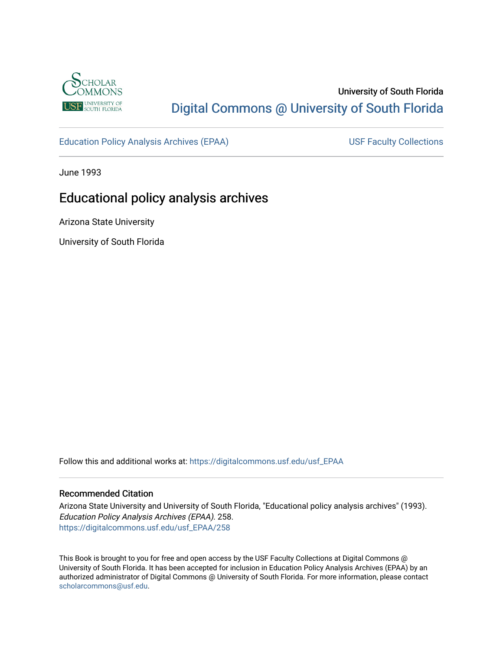

# University of South Florida [Digital Commons @ University of South Florida](https://digitalcommons.usf.edu/)

[Education Policy Analysis Archives \(EPAA\)](https://digitalcommons.usf.edu/usf_EPAA) USF Faculty Collections

June 1993

# Educational policy analysis archives

Arizona State University

University of South Florida

Follow this and additional works at: [https://digitalcommons.usf.edu/usf\\_EPAA](https://digitalcommons.usf.edu/usf_EPAA?utm_source=digitalcommons.usf.edu%2Fusf_EPAA%2F258&utm_medium=PDF&utm_campaign=PDFCoverPages)

#### Recommended Citation

Arizona State University and University of South Florida, "Educational policy analysis archives" (1993). Education Policy Analysis Archives (EPAA). 258. [https://digitalcommons.usf.edu/usf\\_EPAA/258](https://digitalcommons.usf.edu/usf_EPAA/258?utm_source=digitalcommons.usf.edu%2Fusf_EPAA%2F258&utm_medium=PDF&utm_campaign=PDFCoverPages)

This Book is brought to you for free and open access by the USF Faculty Collections at Digital Commons @ University of South Florida. It has been accepted for inclusion in Education Policy Analysis Archives (EPAA) by an authorized administrator of Digital Commons @ University of South Florida. For more information, please contact [scholarcommons@usf.edu.](mailto:scholarcommons@usf.edu)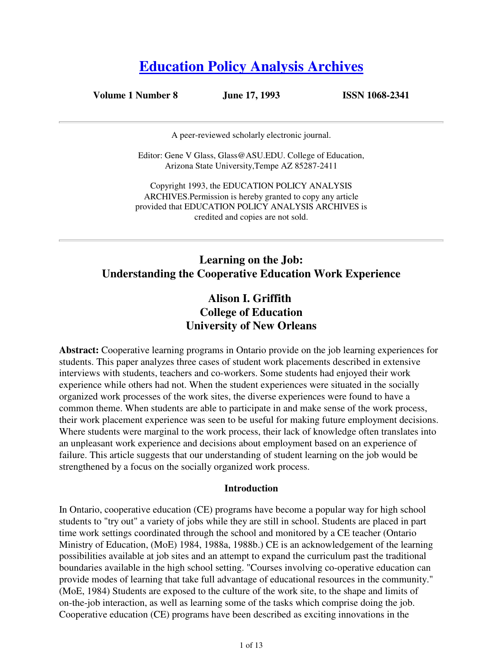# **Education Policy Analysis Archives**

**Volume 1 Number 8 June 17, 1993 ISSN 1068-2341**

A peer-reviewed scholarly electronic journal.

Editor: Gene V Glass, Glass@ASU.EDU. College of Education, Arizona State University,Tempe AZ 85287-2411

Copyright 1993, the EDUCATION POLICY ANALYSIS ARCHIVES.Permission is hereby granted to copy any article provided that EDUCATION POLICY ANALYSIS ARCHIVES is credited and copies are not sold.

# **Learning on the Job: Understanding the Cooperative Education Work Experience**

## **Alison I. Griffith College of Education University of New Orleans**

**Abstract:** Cooperative learning programs in Ontario provide on the job learning experiences for students. This paper analyzes three cases of student work placements described in extensive interviews with students, teachers and co-workers. Some students had enjoyed their work experience while others had not. When the student experiences were situated in the socially organized work processes of the work sites, the diverse experiences were found to have a common theme. When students are able to participate in and make sense of the work process, their work placement experience was seen to be useful for making future employment decisions. Where students were marginal to the work process, their lack of knowledge often translates into an unpleasant work experience and decisions about employment based on an experience of failure. This article suggests that our understanding of student learning on the job would be strengthened by a focus on the socially organized work process.

#### **Introduction**

In Ontario, cooperative education (CE) programs have become a popular way for high school students to "try out" a variety of jobs while they are still in school. Students are placed in part time work settings coordinated through the school and monitored by a CE teacher (Ontario Ministry of Education, (MoE) 1984, 1988a, 1988b.) CE is an acknowledgement of the learning possibilities available at job sites and an attempt to expand the curriculum past the traditional boundaries available in the high school setting. "Courses involving co-operative education can provide modes of learning that take full advantage of educational resources in the community." (MoE, 1984) Students are exposed to the culture of the work site, to the shape and limits of on-the-job interaction, as well as learning some of the tasks which comprise doing the job. Cooperative education (CE) programs have been described as exciting innovations in the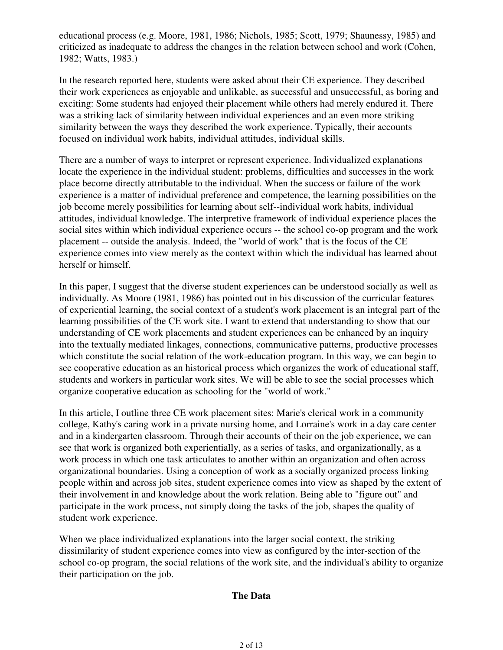educational process (e.g. Moore, 1981, 1986; Nichols, 1985; Scott, 1979; Shaunessy, 1985) and criticized as inadequate to address the changes in the relation between school and work (Cohen, 1982; Watts, 1983.)

In the research reported here, students were asked about their CE experience. They described their work experiences as enjoyable and unlikable, as successful and unsuccessful, as boring and exciting: Some students had enjoyed their placement while others had merely endured it. There was a striking lack of similarity between individual experiences and an even more striking similarity between the ways they described the work experience. Typically, their accounts focused on individual work habits, individual attitudes, individual skills.

There are a number of ways to interpret or represent experience. Individualized explanations locate the experience in the individual student: problems, difficulties and successes in the work place become directly attributable to the individual. When the success or failure of the work experience is a matter of individual preference and competence, the learning possibilities on the job become merely possibilities for learning about self--individual work habits, individual attitudes, individual knowledge. The interpretive framework of individual experience places the social sites within which individual experience occurs -- the school co-op program and the work placement -- outside the analysis. Indeed, the "world of work" that is the focus of the CE experience comes into view merely as the context within which the individual has learned about herself or himself.

In this paper, I suggest that the diverse student experiences can be understood socially as well as individually. As Moore (1981, 1986) has pointed out in his discussion of the curricular features of experiential learning, the social context of a student's work placement is an integral part of the learning possibilities of the CE work site. I want to extend that understanding to show that our understanding of CE work placements and student experiences can be enhanced by an inquiry into the textually mediated linkages, connections, communicative patterns, productive processes which constitute the social relation of the work-education program. In this way, we can begin to see cooperative education as an historical process which organizes the work of educational staff, students and workers in particular work sites. We will be able to see the social processes which organize cooperative education as schooling for the "world of work."

In this article, I outline three CE work placement sites: Marie's clerical work in a community college, Kathy's caring work in a private nursing home, and Lorraine's work in a day care center and in a kindergarten classroom. Through their accounts of their on the job experience, we can see that work is organized both experientially, as a series of tasks, and organizationally, as a work process in which one task articulates to another within an organization and often across organizational boundaries. Using a conception of work as a socially organized process linking people within and across job sites, student experience comes into view as shaped by the extent of their involvement in and knowledge about the work relation. Being able to "figure out" and participate in the work process, not simply doing the tasks of the job, shapes the quality of student work experience.

When we place individualized explanations into the larger social context, the striking dissimilarity of student experience comes into view as configured by the inter-section of the school co-op program, the social relations of the work site, and the individual's ability to organize their participation on the job.

### **The Data**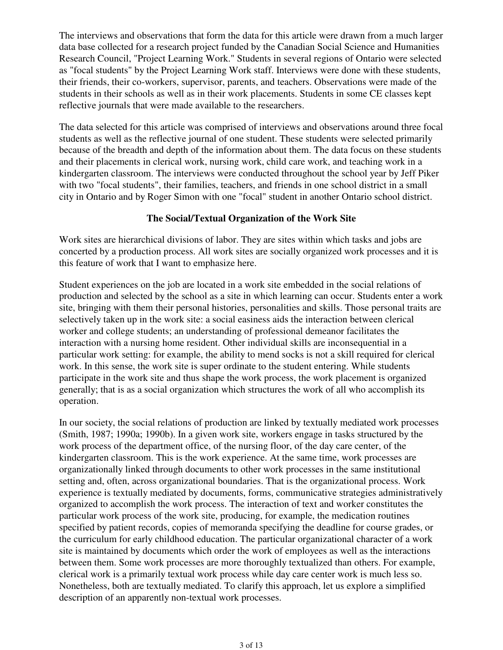The interviews and observations that form the data for this article were drawn from a much larger data base collected for a research project funded by the Canadian Social Science and Humanities Research Council, "Project Learning Work." Students in several regions of Ontario were selected as "focal students" by the Project Learning Work staff. Interviews were done with these students, their friends, their co-workers, supervisor, parents, and teachers. Observations were made of the students in their schools as well as in their work placements. Students in some CE classes kept reflective journals that were made available to the researchers.

The data selected for this article was comprised of interviews and observations around three focal students as well as the reflective journal of one student. These students were selected primarily because of the breadth and depth of the information about them. The data focus on these students and their placements in clerical work, nursing work, child care work, and teaching work in a kindergarten classroom. The interviews were conducted throughout the school year by Jeff Piker with two "focal students", their families, teachers, and friends in one school district in a small city in Ontario and by Roger Simon with one "focal" student in another Ontario school district.

## **The Social/Textual Organization of the Work Site**

Work sites are hierarchical divisions of labor. They are sites within which tasks and jobs are concerted by a production process. All work sites are socially organized work processes and it is this feature of work that I want to emphasize here.

Student experiences on the job are located in a work site embedded in the social relations of production and selected by the school as a site in which learning can occur. Students enter a work site, bringing with them their personal histories, personalities and skills. Those personal traits are selectively taken up in the work site: a social easiness aids the interaction between clerical worker and college students; an understanding of professional demeanor facilitates the interaction with a nursing home resident. Other individual skills are inconsequential in a particular work setting: for example, the ability to mend socks is not a skill required for clerical work. In this sense, the work site is super ordinate to the student entering. While students participate in the work site and thus shape the work process, the work placement is organized generally; that is as a social organization which structures the work of all who accomplish its operation.

In our society, the social relations of production are linked by textually mediated work processes (Smith, 1987; 1990a; 1990b). In a given work site, workers engage in tasks structured by the work process of the department office, of the nursing floor, of the day care center, of the kindergarten classroom. This is the work experience. At the same time, work processes are organizationally linked through documents to other work processes in the same institutional setting and, often, across organizational boundaries. That is the organizational process. Work experience is textually mediated by documents, forms, communicative strategies administratively organized to accomplish the work process. The interaction of text and worker constitutes the particular work process of the work site, producing, for example, the medication routines specified by patient records, copies of memoranda specifying the deadline for course grades, or the curriculum for early childhood education. The particular organizational character of a work site is maintained by documents which order the work of employees as well as the interactions between them. Some work processes are more thoroughly textualized than others. For example, clerical work is a primarily textual work process while day care center work is much less so. Nonetheless, both are textually mediated. To clarify this approach, let us explore a simplified description of an apparently non-textual work processes.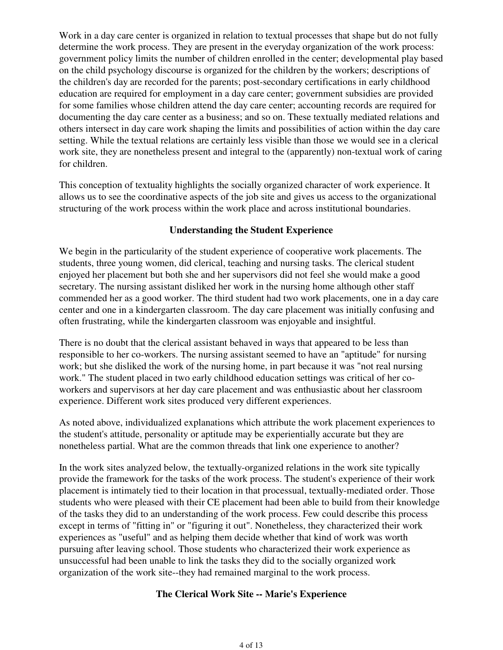Work in a day care center is organized in relation to textual processes that shape but do not fully determine the work process. They are present in the everyday organization of the work process: government policy limits the number of children enrolled in the center; developmental play based on the child psychology discourse is organized for the children by the workers; descriptions of the children's day are recorded for the parents; post-secondary certifications in early childhood education are required for employment in a day care center; government subsidies are provided for some families whose children attend the day care center; accounting records are required for documenting the day care center as a business; and so on. These textually mediated relations and others intersect in day care work shaping the limits and possibilities of action within the day care setting. While the textual relations are certainly less visible than those we would see in a clerical work site, they are nonetheless present and integral to the (apparently) non-textual work of caring for children.

This conception of textuality highlights the socially organized character of work experience. It allows us to see the coordinative aspects of the job site and gives us access to the organizational structuring of the work process within the work place and across institutional boundaries.

## **Understanding the Student Experience**

We begin in the particularity of the student experience of cooperative work placements. The students, three young women, did clerical, teaching and nursing tasks. The clerical student enjoyed her placement but both she and her supervisors did not feel she would make a good secretary. The nursing assistant disliked her work in the nursing home although other staff commended her as a good worker. The third student had two work placements, one in a day care center and one in a kindergarten classroom. The day care placement was initially confusing and often frustrating, while the kindergarten classroom was enjoyable and insightful.

There is no doubt that the clerical assistant behaved in ways that appeared to be less than responsible to her co-workers. The nursing assistant seemed to have an "aptitude" for nursing work; but she disliked the work of the nursing home, in part because it was "not real nursing work." The student placed in two early childhood education settings was critical of her coworkers and supervisors at her day care placement and was enthusiastic about her classroom experience. Different work sites produced very different experiences.

As noted above, individualized explanations which attribute the work placement experiences to the student's attitude, personality or aptitude may be experientially accurate but they are nonetheless partial. What are the common threads that link one experience to another?

In the work sites analyzed below, the textually-organized relations in the work site typically provide the framework for the tasks of the work process. The student's experience of their work placement is intimately tied to their location in that processual, textually-mediated order. Those students who were pleased with their CE placement had been able to build from their knowledge of the tasks they did to an understanding of the work process. Few could describe this process except in terms of "fitting in" or "figuring it out". Nonetheless, they characterized their work experiences as "useful" and as helping them decide whether that kind of work was worth pursuing after leaving school. Those students who characterized their work experience as unsuccessful had been unable to link the tasks they did to the socially organized work organization of the work site--they had remained marginal to the work process.

### **The Clerical Work Site -- Marie's Experience**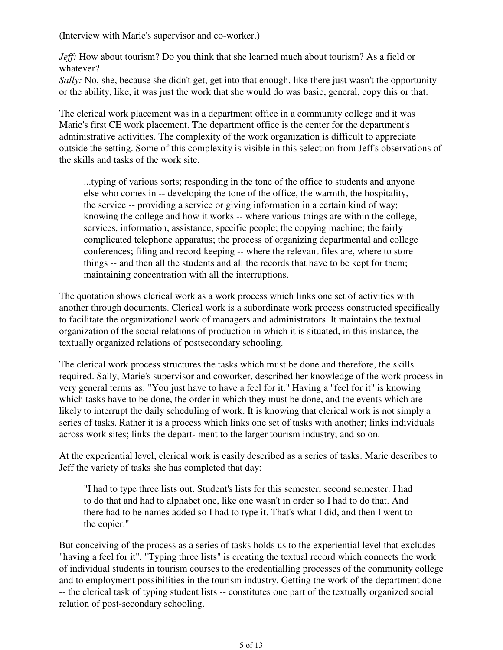(Interview with Marie's supervisor and co-worker.)

*Jeff:* How about tourism? Do you think that she learned much about tourism? As a field or whatever?

*Sally:* No, she, because she didn't get, get into that enough, like there just wasn't the opportunity or the ability, like, it was just the work that she would do was basic, general, copy this or that.

The clerical work placement was in a department office in a community college and it was Marie's first CE work placement. The department office is the center for the department's administrative activities. The complexity of the work organization is difficult to appreciate outside the setting. Some of this complexity is visible in this selection from Jeff's observations of the skills and tasks of the work site.

...typing of various sorts; responding in the tone of the office to students and anyone else who comes in -- developing the tone of the office, the warmth, the hospitality, the service -- providing a service or giving information in a certain kind of way; knowing the college and how it works -- where various things are within the college, services, information, assistance, specific people; the copying machine; the fairly complicated telephone apparatus; the process of organizing departmental and college conferences; filing and record keeping -- where the relevant files are, where to store things -- and then all the students and all the records that have to be kept for them; maintaining concentration with all the interruptions.

The quotation shows clerical work as a work process which links one set of activities with another through documents. Clerical work is a subordinate work process constructed specifically to facilitate the organizational work of managers and administrators. It maintains the textual organization of the social relations of production in which it is situated, in this instance, the textually organized relations of postsecondary schooling.

The clerical work process structures the tasks which must be done and therefore, the skills required. Sally, Marie's supervisor and coworker, described her knowledge of the work process in very general terms as: "You just have to have a feel for it." Having a "feel for it" is knowing which tasks have to be done, the order in which they must be done, and the events which are likely to interrupt the daily scheduling of work. It is knowing that clerical work is not simply a series of tasks. Rather it is a process which links one set of tasks with another; links individuals across work sites; links the depart- ment to the larger tourism industry; and so on.

At the experiential level, clerical work is easily described as a series of tasks. Marie describes to Jeff the variety of tasks she has completed that day:

"I had to type three lists out. Student's lists for this semester, second semester. I had to do that and had to alphabet one, like one wasn't in order so I had to do that. And there had to be names added so I had to type it. That's what I did, and then I went to the copier."

But conceiving of the process as a series of tasks holds us to the experiential level that excludes "having a feel for it". "Typing three lists" is creating the textual record which connects the work of individual students in tourism courses to the credentialling processes of the community college and to employment possibilities in the tourism industry. Getting the work of the department done -- the clerical task of typing student lists -- constitutes one part of the textually organized social relation of post-secondary schooling.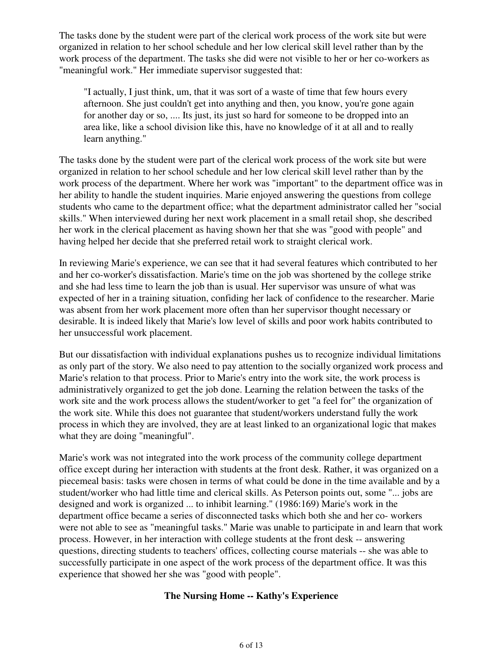The tasks done by the student were part of the clerical work process of the work site but were organized in relation to her school schedule and her low clerical skill level rather than by the work process of the department. The tasks she did were not visible to her or her co-workers as "meaningful work." Her immediate supervisor suggested that:

"I actually, I just think, um, that it was sort of a waste of time that few hours every afternoon. She just couldn't get into anything and then, you know, you're gone again for another day or so, .... Its just, its just so hard for someone to be dropped into an area like, like a school division like this, have no knowledge of it at all and to really learn anything."

The tasks done by the student were part of the clerical work process of the work site but were organized in relation to her school schedule and her low clerical skill level rather than by the work process of the department. Where her work was "important" to the department office was in her ability to handle the student inquiries. Marie enjoyed answering the questions from college students who came to the department office; what the department administrator called her "social skills." When interviewed during her next work placement in a small retail shop, she described her work in the clerical placement as having shown her that she was "good with people" and having helped her decide that she preferred retail work to straight clerical work.

In reviewing Marie's experience, we can see that it had several features which contributed to her and her co-worker's dissatisfaction. Marie's time on the job was shortened by the college strike and she had less time to learn the job than is usual. Her supervisor was unsure of what was expected of her in a training situation, confiding her lack of confidence to the researcher. Marie was absent from her work placement more often than her supervisor thought necessary or desirable. It is indeed likely that Marie's low level of skills and poor work habits contributed to her unsuccessful work placement.

But our dissatisfaction with individual explanations pushes us to recognize individual limitations as only part of the story. We also need to pay attention to the socially organized work process and Marie's relation to that process. Prior to Marie's entry into the work site, the work process is administratively organized to get the job done. Learning the relation between the tasks of the work site and the work process allows the student/worker to get "a feel for" the organization of the work site. While this does not guarantee that student/workers understand fully the work process in which they are involved, they are at least linked to an organizational logic that makes what they are doing "meaningful".

Marie's work was not integrated into the work process of the community college department office except during her interaction with students at the front desk. Rather, it was organized on a piecemeal basis: tasks were chosen in terms of what could be done in the time available and by a student/worker who had little time and clerical skills. As Peterson points out, some "... jobs are designed and work is organized ... to inhibit learning." (1986:169) Marie's work in the department office became a series of disconnected tasks which both she and her co- workers were not able to see as "meaningful tasks." Marie was unable to participate in and learn that work process. However, in her interaction with college students at the front desk -- answering questions, directing students to teachers' offices, collecting course materials -- she was able to successfully participate in one aspect of the work process of the department office. It was this experience that showed her she was "good with people".

### **The Nursing Home -- Kathy's Experience**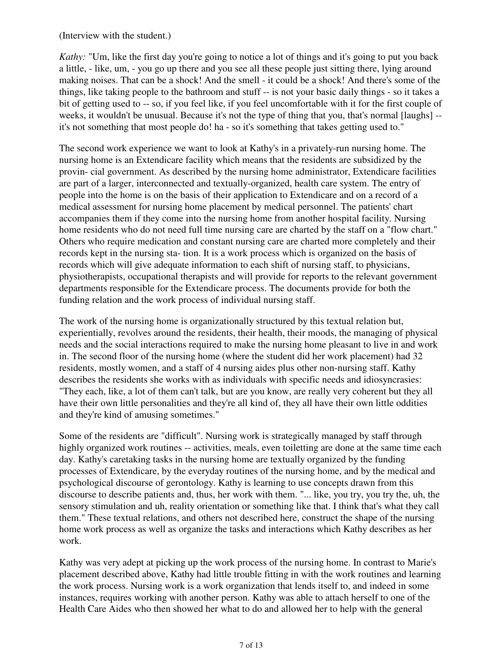(Interview with the student.)

*Kathy:* "Um, like the first day you're going to notice a lot of things and it's going to put you back a little, - like, um, - you go up there and you see all these people just sitting there, lying around making noises. That can be a shock! And the smell - it could be a shock! And there's some of the things, like taking people to the bathroom and stuff -- is not your basic daily things - so it takes a bit of getting used to -- so, if you feel like, if you feel uncomfortable with it for the first couple of weeks, it wouldn't be unusual. Because it's not the type of thing that you, that's normal [laughs] - it's not something that most people do! ha - so it's something that takes getting used to."

The second work experience we want to look at Kathy's in a privately-run nursing home. The nursing home is an Extendicare facility which means that the residents are subsidized by the provin- cial government. As described by the nursing home administrator, Extendicare facilities are part of a larger, interconnected and textually-organized, health care system. The entry of people into the home is on the basis of their application to Extendicare and on a record of a medical assessment for nursing home placement by medical personnel. The patients' chart accompanies them if they come into the nursing home from another hospital facility. Nursing home residents who do not need full time nursing care are charted by the staff on a "flow chart." Others who require medication and constant nursing care are charted more completely and their records kept in the nursing sta- tion. It is a work process which is organized on the basis of records which will give adequate information to each shift of nursing staff, to physicians, physiotherapists, occupational therapists and will provide for reports to the relevant government departments responsible for the Extendicare process. The documents provide for both the funding relation and the work process of individual nursing staff.

The work of the nursing home is organizationally structured by this textual relation but, experientially, revolves around the residents, their health, their moods, the managing of physical needs and the social interactions required to make the nursing home pleasant to live in and work in. The second floor of the nursing home (where the student did her work placement) had 32 residents, mostly women, and a staff of 4 nursing aides plus other non-nursing staff. Kathy describes the residents she works with as individuals with specific needs and idiosyncrasies: "They each, like, a lot of them can't talk, but are you know, are really very coherent but they all have their own little personalities and they're all kind of, they all have their own little oddities and they're kind of amusing sometimes."

Some of the residents are "difficult". Nursing work is strategically managed by staff through highly organized work routines -- activities, meals, even toiletting are done at the same time each day. Kathy's caretaking tasks in the nursing home are textually organized by the funding processes of Extendicare, by the everyday routines of the nursing home, and by the medical and psychological discourse of gerontology. Kathy is learning to use concepts drawn from this discourse to describe patients and, thus, her work with them. "... like, you try, you try the, uh, the sensory stimulation and uh, reality orientation or something like that. I think that's what they call them." These textual relations, and others not described here, construct the shape of the nursing home work process as well as organize the tasks and interactions which Kathy describes as her work.

Kathy was very adept at picking up the work process of the nursing home. In contrast to Marie's placement described above, Kathy had little trouble fitting in with the work routines and learning the work process. Nursing work is a work organization that lends itself to, and indeed in some instances, requires working with another person. Kathy was able to attach herself to one of the Health Care Aides who then showed her what to do and allowed her to help with the general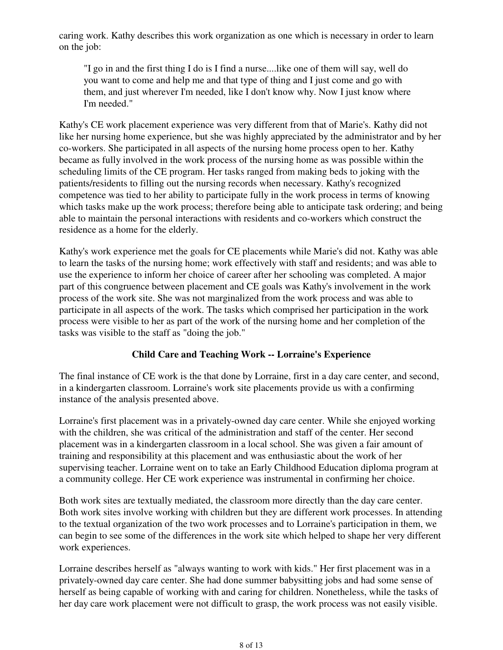caring work. Kathy describes this work organization as one which is necessary in order to learn on the job:

"I go in and the first thing I do is I find a nurse....like one of them will say, well do you want to come and help me and that type of thing and I just come and go with them, and just wherever I'm needed, like I don't know why. Now I just know where I'm needed."

Kathy's CE work placement experience was very different from that of Marie's. Kathy did not like her nursing home experience, but she was highly appreciated by the administrator and by her co-workers. She participated in all aspects of the nursing home process open to her. Kathy became as fully involved in the work process of the nursing home as was possible within the scheduling limits of the CE program. Her tasks ranged from making beds to joking with the patients/residents to filling out the nursing records when necessary. Kathy's recognized competence was tied to her ability to participate fully in the work process in terms of knowing which tasks make up the work process; therefore being able to anticipate task ordering; and being able to maintain the personal interactions with residents and co-workers which construct the residence as a home for the elderly.

Kathy's work experience met the goals for CE placements while Marie's did not. Kathy was able to learn the tasks of the nursing home; work effectively with staff and residents; and was able to use the experience to inform her choice of career after her schooling was completed. A major part of this congruence between placement and CE goals was Kathy's involvement in the work process of the work site. She was not marginalized from the work process and was able to participate in all aspects of the work. The tasks which comprised her participation in the work process were visible to her as part of the work of the nursing home and her completion of the tasks was visible to the staff as "doing the job."

## **Child Care and Teaching Work -- Lorraine's Experience**

The final instance of CE work is the that done by Lorraine, first in a day care center, and second, in a kindergarten classroom. Lorraine's work site placements provide us with a confirming instance of the analysis presented above.

Lorraine's first placement was in a privately-owned day care center. While she enjoyed working with the children, she was critical of the administration and staff of the center. Her second placement was in a kindergarten classroom in a local school. She was given a fair amount of training and responsibility at this placement and was enthusiastic about the work of her supervising teacher. Lorraine went on to take an Early Childhood Education diploma program at a community college. Her CE work experience was instrumental in confirming her choice.

Both work sites are textually mediated, the classroom more directly than the day care center. Both work sites involve working with children but they are different work processes. In attending to the textual organization of the two work processes and to Lorraine's participation in them, we can begin to see some of the differences in the work site which helped to shape her very different work experiences.

Lorraine describes herself as "always wanting to work with kids." Her first placement was in a privately-owned day care center. She had done summer babysitting jobs and had some sense of herself as being capable of working with and caring for children. Nonetheless, while the tasks of her day care work placement were not difficult to grasp, the work process was not easily visible.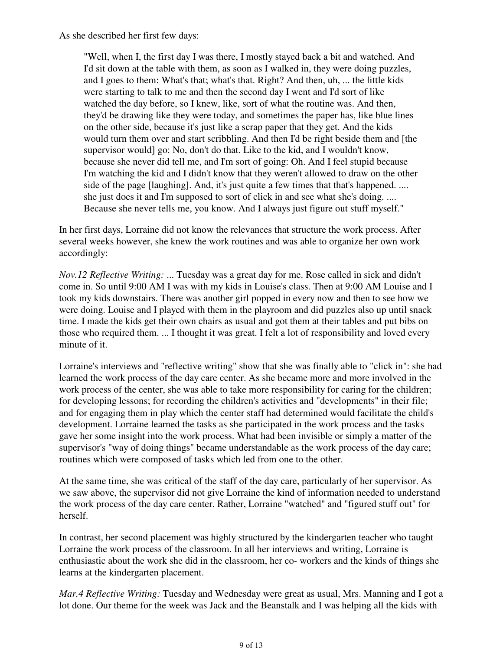As she described her first few days:

"Well, when I, the first day I was there, I mostly stayed back a bit and watched. And I'd sit down at the table with them, as soon as I walked in, they were doing puzzles, and I goes to them: What's that; what's that. Right? And then, uh, ... the little kids were starting to talk to me and then the second day I went and I'd sort of like watched the day before, so I knew, like, sort of what the routine was. And then, they'd be drawing like they were today, and sometimes the paper has, like blue lines on the other side, because it's just like a scrap paper that they get. And the kids would turn them over and start scribbling. And then I'd be right beside them and [the supervisor would] go: No, don't do that. Like to the kid, and I wouldn't know, because she never did tell me, and I'm sort of going: Oh. And I feel stupid because I'm watching the kid and I didn't know that they weren't allowed to draw on the other side of the page [laughing]. And, it's just quite a few times that that's happened. .... she just does it and I'm supposed to sort of click in and see what she's doing. .... Because she never tells me, you know. And I always just figure out stuff myself."

In her first days, Lorraine did not know the relevances that structure the work process. After several weeks however, she knew the work routines and was able to organize her own work accordingly:

*Nov.12 Reflective Writing:* ... Tuesday was a great day for me. Rose called in sick and didn't come in. So until 9:00 AM I was with my kids in Louise's class. Then at 9:00 AM Louise and I took my kids downstairs. There was another girl popped in every now and then to see how we were doing. Louise and I played with them in the playroom and did puzzles also up until snack time. I made the kids get their own chairs as usual and got them at their tables and put bibs on those who required them. ... I thought it was great. I felt a lot of responsibility and loved every minute of it.

Lorraine's interviews and "reflective writing" show that she was finally able to "click in": she had learned the work process of the day care center. As she became more and more involved in the work process of the center, she was able to take more responsibility for caring for the children; for developing lessons; for recording the children's activities and "developments" in their file; and for engaging them in play which the center staff had determined would facilitate the child's development. Lorraine learned the tasks as she participated in the work process and the tasks gave her some insight into the work process. What had been invisible or simply a matter of the supervisor's "way of doing things" became understandable as the work process of the day care; routines which were composed of tasks which led from one to the other.

At the same time, she was critical of the staff of the day care, particularly of her supervisor. As we saw above, the supervisor did not give Lorraine the kind of information needed to understand the work process of the day care center. Rather, Lorraine "watched" and "figured stuff out" for herself.

In contrast, her second placement was highly structured by the kindergarten teacher who taught Lorraine the work process of the classroom. In all her interviews and writing, Lorraine is enthusiastic about the work she did in the classroom, her co- workers and the kinds of things she learns at the kindergarten placement.

*Mar.4 Reflective Writing:* Tuesday and Wednesday were great as usual, Mrs. Manning and I got a lot done. Our theme for the week was Jack and the Beanstalk and I was helping all the kids with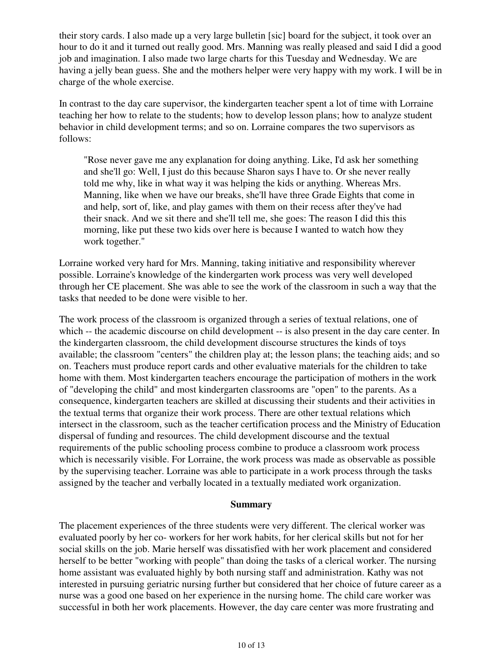their story cards. I also made up a very large bulletin [sic] board for the subject, it took over an hour to do it and it turned out really good. Mrs. Manning was really pleased and said I did a good job and imagination. I also made two large charts for this Tuesday and Wednesday. We are having a jelly bean guess. She and the mothers helper were very happy with my work. I will be in charge of the whole exercise.

In contrast to the day care supervisor, the kindergarten teacher spent a lot of time with Lorraine teaching her how to relate to the students; how to develop lesson plans; how to analyze student behavior in child development terms; and so on. Lorraine compares the two supervisors as follows:

"Rose never gave me any explanation for doing anything. Like, I'd ask her something and she'll go: Well, I just do this because Sharon says I have to. Or she never really told me why, like in what way it was helping the kids or anything. Whereas Mrs. Manning, like when we have our breaks, she'll have three Grade Eights that come in and help, sort of, like, and play games with them on their recess after they've had their snack. And we sit there and she'll tell me, she goes: The reason I did this this morning, like put these two kids over here is because I wanted to watch how they work together."

Lorraine worked very hard for Mrs. Manning, taking initiative and responsibility wherever possible. Lorraine's knowledge of the kindergarten work process was very well developed through her CE placement. She was able to see the work of the classroom in such a way that the tasks that needed to be done were visible to her.

The work process of the classroom is organized through a series of textual relations, one of which -- the academic discourse on child development -- is also present in the day care center. In the kindergarten classroom, the child development discourse structures the kinds of toys available; the classroom "centers" the children play at; the lesson plans; the teaching aids; and so on. Teachers must produce report cards and other evaluative materials for the children to take home with them. Most kindergarten teachers encourage the participation of mothers in the work of "developing the child" and most kindergarten classrooms are "open" to the parents. As a consequence, kindergarten teachers are skilled at discussing their students and their activities in the textual terms that organize their work process. There are other textual relations which intersect in the classroom, such as the teacher certification process and the Ministry of Education dispersal of funding and resources. The child development discourse and the textual requirements of the public schooling process combine to produce a classroom work process which is necessarily visible. For Lorraine, the work process was made as observable as possible by the supervising teacher. Lorraine was able to participate in a work process through the tasks assigned by the teacher and verbally located in a textually mediated work organization.

#### **Summary**

The placement experiences of the three students were very different. The clerical worker was evaluated poorly by her co- workers for her work habits, for her clerical skills but not for her social skills on the job. Marie herself was dissatisfied with her work placement and considered herself to be better "working with people" than doing the tasks of a clerical worker. The nursing home assistant was evaluated highly by both nursing staff and administration. Kathy was not interested in pursuing geriatric nursing further but considered that her choice of future career as a nurse was a good one based on her experience in the nursing home. The child care worker was successful in both her work placements. However, the day care center was more frustrating and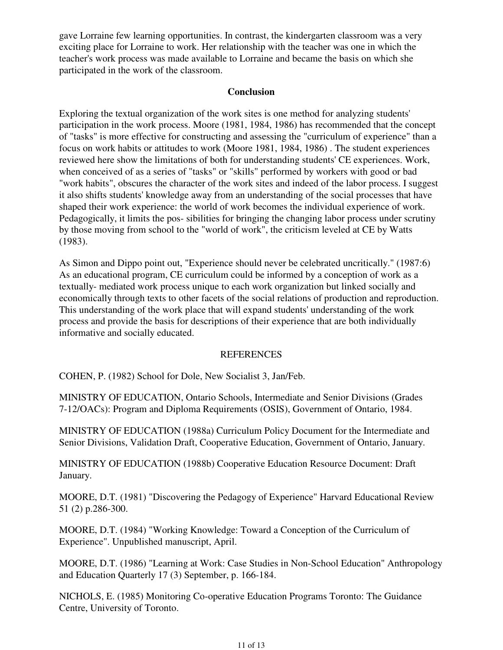gave Lorraine few learning opportunities. In contrast, the kindergarten classroom was a very exciting place for Lorraine to work. Her relationship with the teacher was one in which the teacher's work process was made available to Lorraine and became the basis on which she participated in the work of the classroom.

### **Conclusion**

Exploring the textual organization of the work sites is one method for analyzing students' participation in the work process. Moore (1981, 1984, 1986) has recommended that the concept of "tasks" is more effective for constructing and assessing the "curriculum of experience" than a focus on work habits or attitudes to work (Moore 1981, 1984, 1986) . The student experiences reviewed here show the limitations of both for understanding students' CE experiences. Work, when conceived of as a series of "tasks" or "skills" performed by workers with good or bad "work habits", obscures the character of the work sites and indeed of the labor process. I suggest it also shifts students' knowledge away from an understanding of the social processes that have shaped their work experience: the world of work becomes the individual experience of work. Pedagogically, it limits the pos- sibilities for bringing the changing labor process under scrutiny by those moving from school to the "world of work", the criticism leveled at CE by Watts (1983).

As Simon and Dippo point out, "Experience should never be celebrated uncritically." (1987:6) As an educational program, CE curriculum could be informed by a conception of work as a textually- mediated work process unique to each work organization but linked socially and economically through texts to other facets of the social relations of production and reproduction. This understanding of the work place that will expand students' understanding of the work process and provide the basis for descriptions of their experience that are both individually informative and socially educated.

### REFERENCES

COHEN, P. (1982) School for Dole, New Socialist 3, Jan/Feb.

MINISTRY OF EDUCATION, Ontario Schools, Intermediate and Senior Divisions (Grades 7-12/OACs): Program and Diploma Requirements (OSIS), Government of Ontario, 1984.

MINISTRY OF EDUCATION (1988a) Curriculum Policy Document for the Intermediate and Senior Divisions, Validation Draft, Cooperative Education, Government of Ontario, January.

MINISTRY OF EDUCATION (1988b) Cooperative Education Resource Document: Draft January.

MOORE, D.T. (1981) "Discovering the Pedagogy of Experience" Harvard Educational Review 51 (2) p.286-300.

MOORE, D.T. (1984) "Working Knowledge: Toward a Conception of the Curriculum of Experience". Unpublished manuscript, April.

MOORE, D.T. (1986) "Learning at Work: Case Studies in Non-School Education" Anthropology and Education Quarterly 17 (3) September, p. 166-184.

NICHOLS, E. (1985) Monitoring Co-operative Education Programs Toronto: The Guidance Centre, University of Toronto.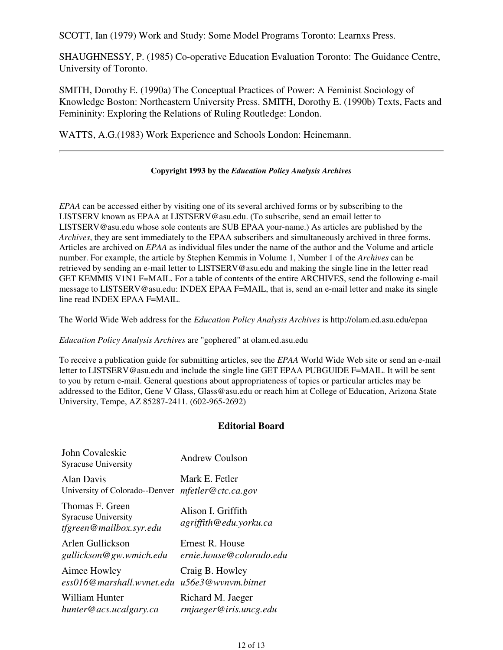SCOTT, Ian (1979) Work and Study: Some Model Programs Toronto: Learnxs Press.

SHAUGHNESSY, P. (1985) Co-operative Education Evaluation Toronto: The Guidance Centre, University of Toronto.

SMITH, Dorothy E. (1990a) The Conceptual Practices of Power: A Feminist Sociology of Knowledge Boston: Northeastern University Press. SMITH, Dorothy E. (1990b) Texts, Facts and Femininity: Exploring the Relations of Ruling Routledge: London.

WATTS, A.G.(1983) Work Experience and Schools London: Heinemann.

#### **Copyright 1993 by the** *Education Policy Analysis Archives*

*EPAA* can be accessed either by visiting one of its several archived forms or by subscribing to the LISTSERV known as EPAA at LISTSERV@asu.edu. (To subscribe, send an email letter to LISTSERV@asu.edu whose sole contents are SUB EPAA your-name.) As articles are published by the *Archives*, they are sent immediately to the EPAA subscribers and simultaneously archived in three forms. Articles are archived on *EPAA* as individual files under the name of the author and the Volume and article number. For example, the article by Stephen Kemmis in Volume 1, Number 1 of the *Archives* can be retrieved by sending an e-mail letter to LISTSERV@asu.edu and making the single line in the letter read GET KEMMIS V1N1 F=MAIL. For a table of contents of the entire ARCHIVES, send the following e-mail message to LISTSERV@asu.edu: INDEX EPAA F=MAIL, that is, send an e-mail letter and make its single line read INDEX EPAA F=MAIL.

The World Wide Web address for the *Education Policy Analysis Archives* is http://olam.ed.asu.edu/epaa

*Education Policy Analysis Archives* are "gophered" at olam.ed.asu.edu

To receive a publication guide for submitting articles, see the *EPAA* World Wide Web site or send an e-mail letter to LISTSERV@asu.edu and include the single line GET EPAA PUBGUIDE F=MAIL. It will be sent to you by return e-mail. General questions about appropriateness of topics or particular articles may be addressed to the Editor, Gene V Glass, Glass@asu.edu or reach him at College of Education, Arizona State University, Tempe, AZ 85287-2411. (602-965-2692)

### **Editorial Board**

| John Covaleskie<br><b>Syracuse University</b>                            | <b>Andrew Coulson</b>                        |
|--------------------------------------------------------------------------|----------------------------------------------|
| Alan Davis                                                               | Mark E. Fetler                               |
| University of Colorado--Denver                                           | mfetter@ctc.ca.gov                           |
| Thomas F. Green<br><b>Syracuse University</b><br>tfgreen@mailbox.syr.edu | Alison I. Griffith<br>agriffith@edu.yorku.ca |
| Arlen Gullickson                                                         | Ernest R. House                              |
| gullickson@gw.wmich.edu                                                  | ernie.house@colorado.edu                     |
| Aimee Howley                                                             | Craig B. Howley                              |
| ess016@marshall.wynet.edu                                                | u56e3@wynym.bitnet                           |
| William Hunter                                                           | Richard M. Jaeger                            |
| hunter@acs.ucalgary.ca                                                   | rmjaeger@iris.uncg.edu                       |